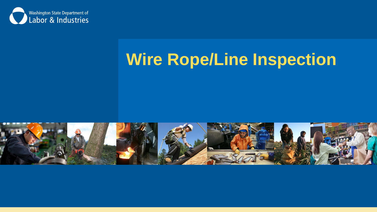

#### **Wire Rope/Line Inspection**

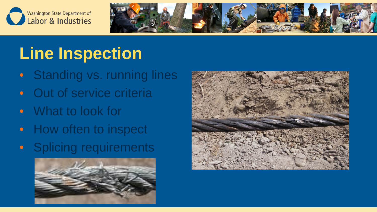



## **Line Inspection**

- Standing vs. running lines
- Out of service criteria
- What to look for
- How often to inspect
- Splicing requirements



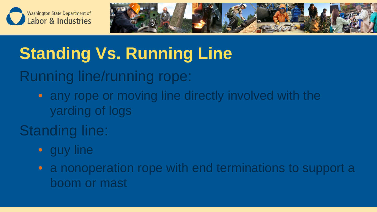



# **Standing Vs. Running Line**

Running line/running rope:

• any rope or moving line directly involved with the yarding of logs

#### Standing line:

• guy line

• a nonoperation rope with end terminations to support a boom or mast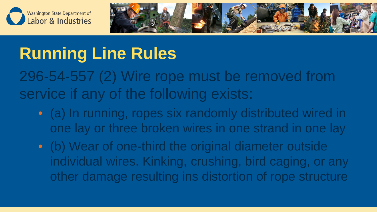



# **Running Line Rules**

296-54-557 (2) Wire rope must be removed from service if any of the following exists:

- (a) In running, ropes six randomly distributed wired in one lay or three broken wires in one strand in one lay
- (b) Wear of one-third the original diameter outside individual wires. Kinking, crushing, bird caging, or any other damage resulting ins distortion of rope structure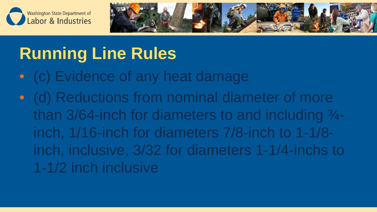



# **Running Line Rules**

- (c) Evidence of any heat damage
- (d) Reductions from nominal diameter of more than  $3/64$ -inch for diameters to and including  $\frac{3}{4}$ inch, 1/16-inch for diameters 7/8-inch to 1-1/8 inch, inclusive, 3/32 for diameters 1-1/4-inchs to 1-1/2 inch inclusive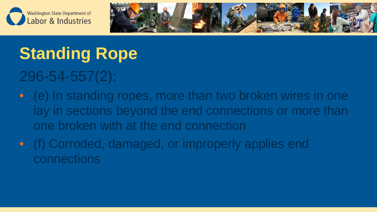



# **Standing Rope**

#### 296-54-557(2):

- (e) In standing ropes, more than two broken wires in one lay in sections beyond the end connections or more than one broken with at the end connection
- (f) Corroded, damaged, or improperly applies end connections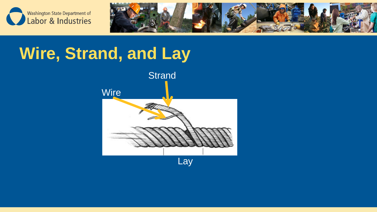



#### **Wire, Strand, and Lay**

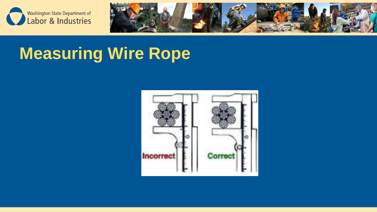



## **Measuring Wire Rope**

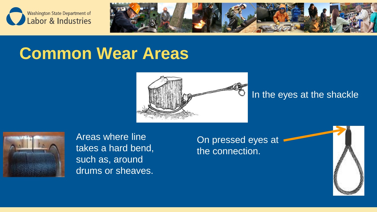



#### **Common Wear Areas**



#### In the eyes at the shackle



Areas where line takes a hard bend, such as, around drums or sheaves.

On pressed eyes at the connection.

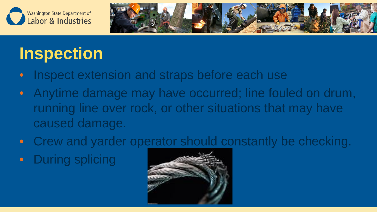



#### **Inspection**

- Inspect extension and straps before each use
- Anytime damage may have occurred; line fouled on drum, running line over rock, or other situations that may have caused damage.
- Crew and yarder operator should constantly be checking.
- **During splicing**

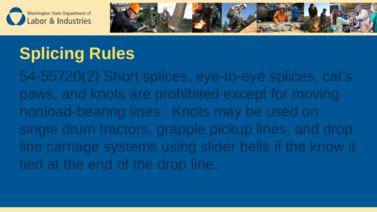



## **Splicing Rules**

54-55720(2) Short splices, eye-to-eye splices, cat's paws, and knots are prohibited except for moving nonload-bearing lines. Knots may be used on single drum tractors, grapple pickup lines, and drop line carriage systems using slider bells if the know it tied at the end of the drop line.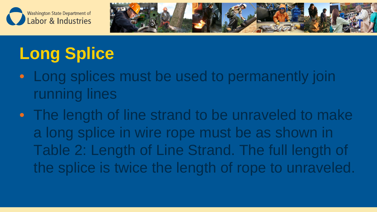



# **Long Splice**

- Long splices must be used to permanently join running lines
- The length of line strand to be unraveled to make a long splice in wire rope must be as shown in Table 2: Length of Line Strand. The full length of the splice is twice the length of rope to unraveled.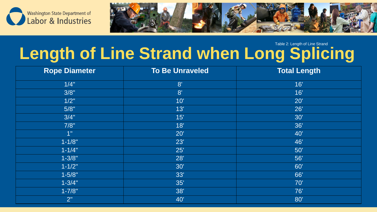

![](_page_12_Picture_1.jpeg)

#### **Length of Line Strand when Long Splicing** Table 2: Length of Line Strand

| <b>Rope Diameter</b> | <b>To Be Unraveled</b> | <b>Total Length</b> |
|----------------------|------------------------|---------------------|
| 1/4"                 | 8'                     | 16'                 |
| 3/8"                 | 8'                     | 16'                 |
| 1/2"                 | 10'                    | $20^{\circ}$        |
| 5/8"                 | 13'                    | 26'                 |
| 3/4"                 | 15'                    | 30'                 |
| 7/8"                 | 18'                    | 36'                 |
| 1"                   | 20'                    | 40'                 |
| $1 - 1/8"$           | 23'                    | 46'                 |
| $1 - 1/4"$           | 25'                    | 50'                 |
| $1 - 3/8"$           | 28'                    | 56'                 |
| $1 - 1/2"$           | 30'                    | 60'                 |
| $1 - 5/8"$           | 33'                    | 66'                 |
| $1 - 3/4"$           | 35'                    | 70'                 |
| $1 - 7/8"$           | 38'                    | 76'                 |
| 2"                   | 40'                    | 80'                 |